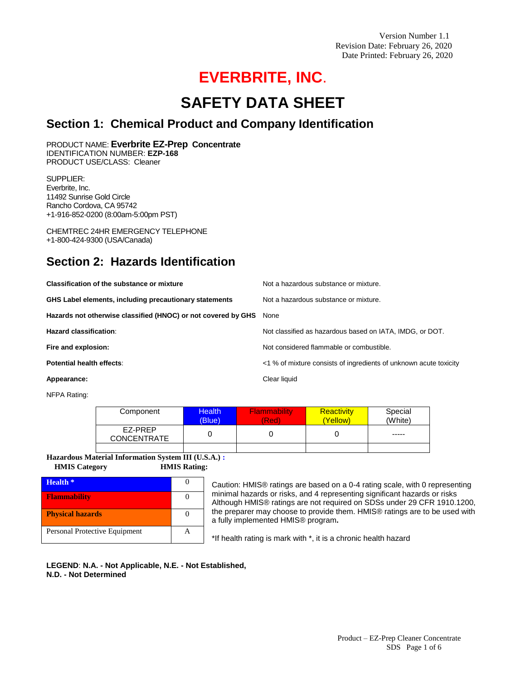Version Number 1.1 Revision Date: February 26, 2020 Date Printed: February 26, 2020

# **EVERBRITE, INC**.

# **SAFETY DATA SHEET**

## **Section 1: Chemical Product and Company Identification**

PRODUCT NAME: **Everbrite EZ-Prep Concentrate**  IDENTIFICATION NUMBER: **EZP-168**  PRODUCT USE/CLASS: Cleaner

SUPPLIER: Everbrite, Inc. 11492 Sunrise Gold Circle Rancho Cordova, CA 95742 +1-916-852-0200 (8:00am-5:00pm PST)

CHEMTREC 24HR EMERGENCY TELEPHONE +1-800-424-9300 (USA/Canada)

# **Section 2: Hazards Identification**

| Classification of the substance or mixture                         | Not a hazardous substance or mixture.                             |
|--------------------------------------------------------------------|-------------------------------------------------------------------|
| GHS Label elements, including precautionary statements             | Not a hazardous substance or mixture.                             |
| Hazards not otherwise classified (HNOC) or not covered by GHS None |                                                                   |
| Hazard classification:                                             | Not classified as hazardous based on IATA, IMDG, or DOT.          |
| Fire and explosion:                                                | Not considered flammable or combustible.                          |
| Potential health effects:                                          | <1 % of mixture consists of ingredients of unknown acute toxicity |
| Appearance:                                                        | Clear liquid                                                      |

NFPA Rating:

| Component                     | <b>Health</b><br>(Blue) | <b>Flammability</b><br>(Red) | <b>Reactivity</b><br>(Yellow) | Special<br>(White) |
|-------------------------------|-------------------------|------------------------------|-------------------------------|--------------------|
| EZ-PREP<br><b>CONCENTRATE</b> |                         |                              |                               | -----              |
|                               |                         |                              |                               |                    |

**Hazardous Material Information System III (U.S.A.) :** 

 **HMIS Category HMIS Rating:**

| Health *                      |  |
|-------------------------------|--|
| <b>Flammability</b>           |  |
| <b>Physical hazards</b>       |  |
| Personal Protective Equipment |  |

Caution: HMIS® ratings are based on a 0-4 rating scale, with 0 representing minimal hazards or risks, and 4 representing significant hazards or risks Although HMIS® ratings are not required on SDSs under 29 CFR 1910.1200, the preparer may choose to provide them. HMIS® ratings are to be used with a fully implemented HMIS® program**.**

\*If health rating is mark with \*, it is a chronic health hazard

**LEGEND**: **N.A. - Not Applicable, N.E. - Not Established, N.D. - Not Determined**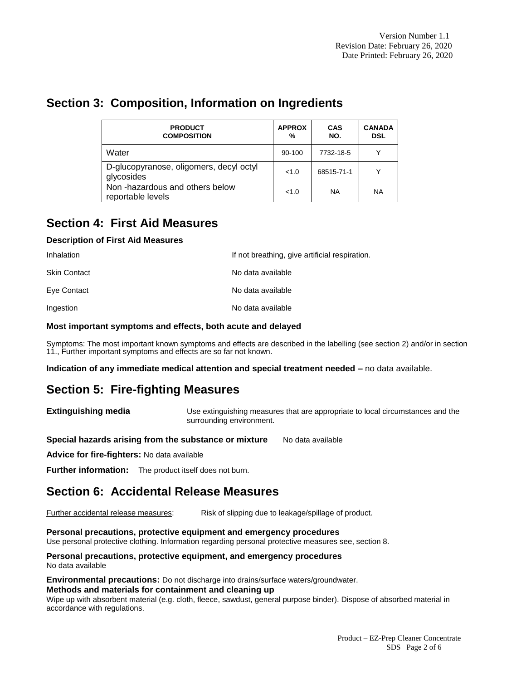# **Section 3: Composition, Information on Ingredients**

| <b>PRODUCT</b><br><b>COMPOSITION</b>                  | <b>APPROX</b><br>% | <b>CAS</b><br>NO. | <b>CANADA</b><br><b>DSL</b> |
|-------------------------------------------------------|--------------------|-------------------|-----------------------------|
| Water                                                 | 90-100             | 7732-18-5         | $\check{ }$                 |
| D-glucopyranose, oligomers, decyl octyl<br>glycosides | <1.0               | 68515-71-1        | $\checkmark$                |
| Non-hazardous and others below<br>reportable levels   | <1.0               | <b>NA</b>         | <b>NA</b>                   |

# **Section 4: First Aid Measures**

### **Description of First Aid Measures**

| Inhalation          | If not breathing, give artificial respiration. |
|---------------------|------------------------------------------------|
| <b>Skin Contact</b> | No data available                              |
| Eye Contact         | No data available                              |
| Ingestion           | No data available                              |

### **Most important symptoms and effects, both acute and delayed**

Symptoms: The most important known symptoms and effects are described in the labelling (see section 2) and/or in section 11., Further important symptoms and effects are so far not known.

**Indication of any immediate medical attention and special treatment needed –** no data available.

# **Section 5: Fire-fighting Measures**

**Extinguishing media** Use extinguishing measures that are appropriate to local circumstances and the surrounding environment.

**Special hazards arising from the substance or mixture** No data available

**Advice for fire-fighters:** No data available

**Further information:** The product itself does not burn.

# **Section 6: Accidental Release Measures**

Further accidental release measures: Risk of slipping due to leakage/spillage of product.

### **Personal precautions, protective equipment and emergency procedures**

Use personal protective clothing. Information regarding personal protective measures see, section 8.

**Personal precautions, protective equipment, and emergency procedures** No data available

**Environmental precautions:** Do not discharge into drains/surface waters/groundwater.

### **Methods and materials for containment and cleaning up**

Wipe up with absorbent material (e.g. cloth, fleece, sawdust, general purpose binder). Dispose of absorbed material in accordance with regulations.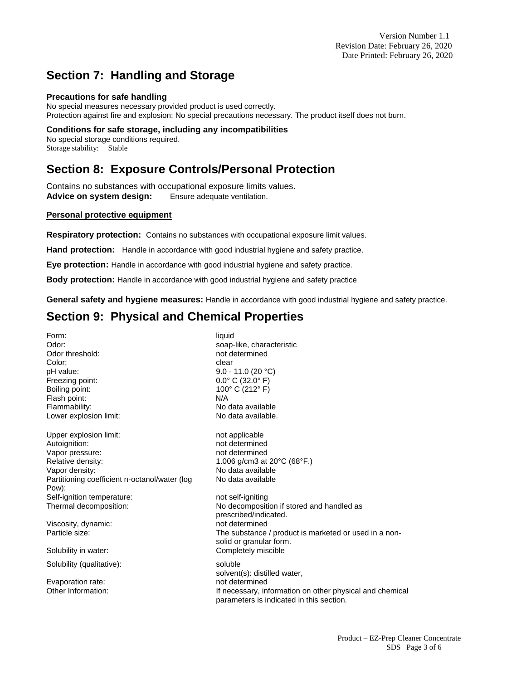# **Section 7: Handling and Storage**

### **Precautions for safe handling**

No special measures necessary provided product is used correctly. Protection against fire and explosion: No special precautions necessary. The product itself does not burn.

### **Conditions for safe storage, including any incompatibilities**

No special storage conditions required. Storage stability: Stable

# **Section 8: Exposure Controls/Personal Protection**

Contains no substances with occupational exposure limits values. **Advice on system design:** Ensure adequate ventilation.

### **Personal protective equipment**

**Respiratory protection:** Contains no substances with occupational exposure limit values.

**Hand protection:** Handle in accordance with good industrial hygiene and safety practice.

**Eye protection:** Handle in accordance with good industrial hygiene and safety practice.

**Body protection:** Handle in accordance with good industrial hygiene and safety practice

**General safety and hygiene measures:** Handle in accordance with good industrial hygiene and safety practice.

# **Section 9: Physical and Chemical Properties**

Form: liquid Odor: example and the soap-like, characteristic soap-like, characteristic Odor threshold: example a more determined Color: expression of the clear clear clear clear pH value: 9.0 - 11.0 (20 °C) Freezing point: 0.0° C (32.0° F) Boiling point: 100° C (212° F) Flash point: N/A Flammability: No data available Lower explosion limit: No data available. Upper explosion limit: not applicable Autoignition: not determined Vapor pressure: not determined Relative density: 1.006 g/cm3 at 20°C (68°F.) Vapor density: No data available Partitioning coefficient n-octanol/water (log Pow): Self-ignition temperature: not self-igniting Thermal decomposition: No decomposition if stored and handled as Viscosity, dynamic: not determined Solubility in water: Completely miscible Solubility (qualitative): soluble

Evaporation rate: not determined

No data available

prescribed/indicated. Particle size: The substance / product is marketed or used in a nonsolid or granular form.

solvent(s): distilled water, Other Information: **If necessary, information on other physical and chemical** parameters is indicated in this section.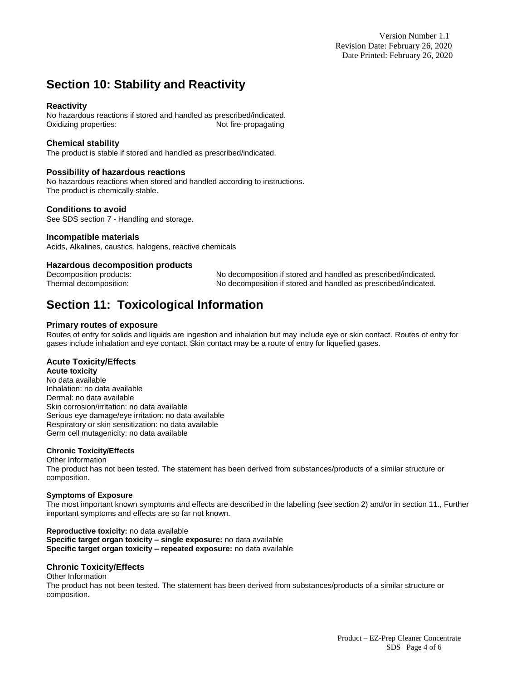Version Number 1.1 Revision Date: February 26, 2020 Date Printed: February 26, 2020

# **Section 10: Stability and Reactivity**

### **Reactivity**

No hazardous reactions if stored and handled as prescribed/indicated. Oxidizing properties: Not fire-propagating

### **Chemical stability**

The product is stable if stored and handled as prescribed/indicated.

### **Possibility of hazardous reactions**

No hazardous reactions when stored and handled according to instructions. The product is chemically stable.

### **Conditions to avoid**

See SDS section 7 - Handling and storage.

### **Incompatible materials**

Acids, Alkalines, caustics, halogens, reactive chemicals

### **Hazardous decomposition products**

Decomposition products: No decomposition if stored and handled as prescribed/indicated. Thermal decomposition: No decomposition if stored and handled as prescribed/indicated.

# **Section 11: Toxicological Information**

### **Primary routes of exposure**

Routes of entry for solids and liquids are ingestion and inhalation but may include eye or skin contact. Routes of entry for gases include inhalation and eye contact. Skin contact may be a route of entry for liquefied gases.

### **Acute Toxicity/Effects**

### **Acute toxicity**

No data available Inhalation: no data available Dermal: no data available Skin corrosion/irritation: no data available Serious eye damage/eye irritation: no data available Respiratory or skin sensitization: no data available Germ cell mutagenicity: no data available

### **Chronic Toxicity/Effects**

Other Information The product has not been tested. The statement has been derived from substances/products of a similar structure or composition.

### **Symptoms of Exposure**

The most important known symptoms and effects are described in the labelling (see section 2) and/or in section 11., Further important symptoms and effects are so far not known.

**Reproductive toxicity:** no data available **Specific target organ toxicity – single exposure:** no data available **Specific target organ toxicity – repeated exposure:** no data available

### **Chronic Toxicity/Effects**

#### Other Information

The product has not been tested. The statement has been derived from substances/products of a similar structure or composition.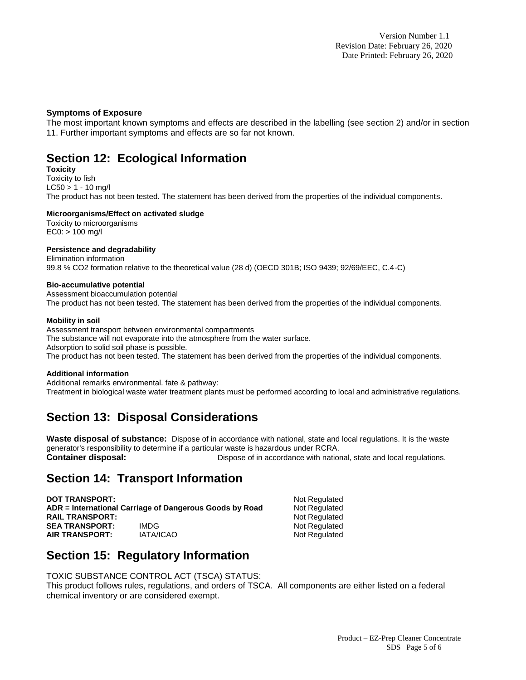### **Symptoms of Exposure**

The most important known symptoms and effects are described in the labelling (see section 2) and/or in section 11. Further important symptoms and effects are so far not known.

## **Section 12: Ecological Information**

**Toxicity** 

Toxicity to fish

 $LCS0 > 1 - 10$  mg/l

The product has not been tested. The statement has been derived from the properties of the individual components.

### **Microorganisms/Effect on activated sludge**

Toxicity to microorganisms EC0: > 100 mg/l

### **Persistence and degradability**

Elimination information 99.8 % CO2 formation relative to the theoretical value (28 d) (OECD 301B; ISO 9439; 92/69/EEC, C.4-C)

### **Bio-accumulative potential**

Assessment bioaccumulation potential The product has not been tested. The statement has been derived from the properties of the individual components.

### **Mobility in soil**

Assessment transport between environmental compartments The substance will not evaporate into the atmosphere from the water surface. Adsorption to solid soil phase is possible. The product has not been tested. The statement has been derived from the properties of the individual components.

### **Additional information**

Additional remarks environmental. fate & pathway: Treatment in biological waste water treatment plants must be performed according to local and administrative regulations.

# **Section 13: Disposal Considerations**

**Waste disposal of substance:** Dispose of in accordance with national, state and local regulations. It is the waste generator's responsibility to determine if a particular waste is hazardous under RCRA. **Container disposal: Dispose of in accordance with national, state and local regulations.** 

# **Section 14: Transport Information**

**DOT TRANSPORT:** Not Regulated **ADR = International Carriage of Dangerous Goods by Road Mot Regulated RAIL TRANSPORT:** Not Regulated **SEA TRANSPORT:** IMDG NOT REGULATED NOT Regulated **AIR TRANSPORT:** IATA/ICAO Not Regulated

# **Section 15: Regulatory Information**

TOXIC SUBSTANCE CONTROL ACT (TSCA) STATUS:

This product follows rules, regulations, and orders of TSCA. All components are either listed on a federal chemical inventory or are considered exempt.